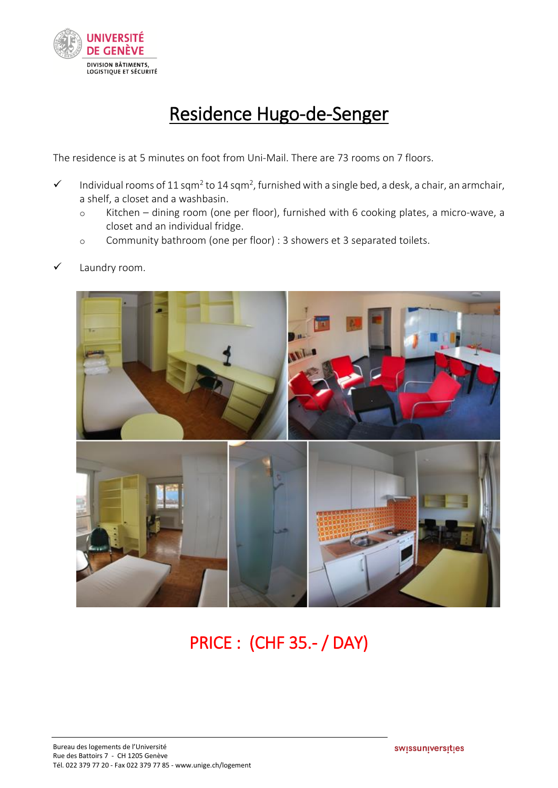

## Residence Hugo-de-Senger

The residence is at 5 minutes on foot from Uni-Mail. There are 73 rooms on 7 floors.

- $\checkmark$  Individual rooms of 11 sqm<sup>2</sup> to 14 sqm<sup>2</sup>, furnished with a single bed, a desk, a chair, an armchair, a shelf, a closet and a washbasin.
	- o Kitchen dining room (one per floor), furnished with 6 cooking plates, a micro-wave, a closet and an individual fridge.
	- o Community bathroom (one per floor) : 3 showers et 3 separated toilets.
- Laundry room.



## PRICE : (CHF 35.- / DAY)